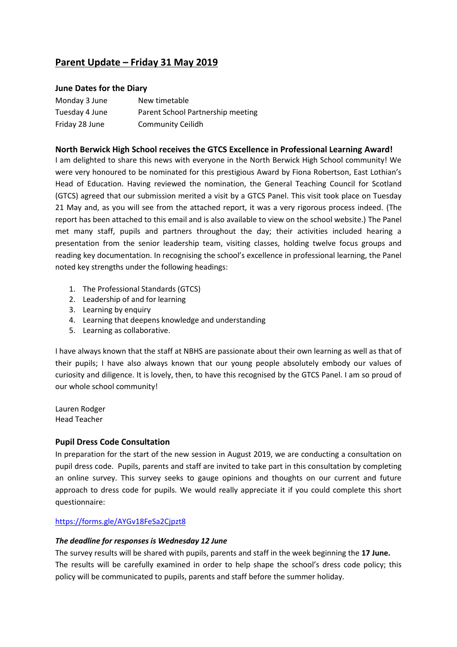# **Parent Update – Friday 31 May 2019**

# **June Dates for the Diary**

| Monday 3 June  | New timetable                     |
|----------------|-----------------------------------|
| Tuesday 4 June | Parent School Partnership meeting |
| Friday 28 June | <b>Community Ceilidh</b>          |

# **North Berwick High School receives the GTCS Excellence in Professional Learning Award!**

I am delighted to share this news with everyone in the North Berwick High School community! We were very honoured to be nominated for this prestigious Award by Fiona Robertson, East Lothian's Head of Education. Having reviewed the nomination, the General Teaching Council for Scotland (GTCS) agreed that our submission merited a visit by a GTCS Panel. This visit took place on Tuesday 21 May and, as you will see from the attached report, it was a very rigorous process indeed. (The report has been attached to this email and is also available to view on the school website.) The Panel met many staff, pupils and partners throughout the day; their activities included hearing a presentation from the senior leadership team, visiting classes, holding twelve focus groups and reading key documentation. In recognising the school's excellence in professional learning, the Panel noted key strengths under the following headings:

- 1. The Professional Standards (GTCS)
- 2. Leadership of and for learning
- 3. Learning by enquiry
- 4. Learning that deepens knowledge and understanding
- 5. Learning as collaborative.

I have always known that the staff at NBHS are passionate about their own learning as well as that of their pupils; I have also always known that our young people absolutely embody our values of curiosity and diligence. It is lovely, then, to have this recognised by the GTCS Panel. I am so proud of our whole school community!

Lauren Rodger Head Teacher

# **Pupil Dress Code Consultation**

In preparation for the start of the new session in August 2019, we are conducting a consultation on pupil dress code. Pupils, parents and staff are invited to take part in this consultation by completing an online survey. This survey seeks to gauge opinions and thoughts on our current and future approach to dress code for pupils. We would really appreciate it if you could complete this short questionnaire:

## <https://forms.gle/AYGv18FeSa2Cjpzt8>

## *The deadline for responses is Wednesday 12 June*

The survey results will be shared with pupils, parents and staff in the week beginning the **17 June.** The results will be carefully examined in order to help shape the school's dress code policy; this policy will be communicated to pupils, parents and staff before the summer holiday.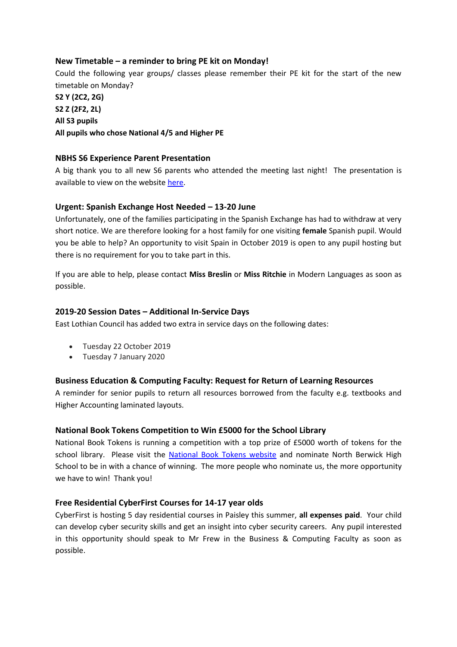# **New Timetable – a reminder to bring PE kit on Monday!**

Could the following year groups/ classes please remember their PE kit for the start of the new timetable on Monday?

**S2 Y (2C2, 2G) S2 Z (2F2, 2L) All S3 pupils All pupils who chose National 4/5 and Higher PE**

## **NBHS S6 Experience Parent Presentation**

A big thank you to all new S6 parents who attended the meeting last night! The presentation is available to view on the website [here.](https://www.edubuzz.org/northberwickhigh/2019/05/31/the-s6-experience-at-nbhs-presentation-for-parents/)

## **Urgent: Spanish Exchange Host Needed – 13-20 June**

Unfortunately, one of the families participating in the Spanish Exchange has had to withdraw at very short notice. We are therefore looking for a host family for one visiting **female** Spanish pupil. Would you be able to help? An opportunity to visit Spain in October 2019 is open to any pupil hosting but there is no requirement for you to take part in this.

If you are able to help, please contact **Miss Breslin** or **Miss Ritchie** in Modern Languages as soon as possible.

#### **2019-20 Session Dates – Additional In-Service Days**

East Lothian Council has added two extra in service days on the following dates:

- Tuesday 22 October 2019
- Tuesday 7 January 2020

#### **Business Education & Computing Faculty: Request for Return of Learning Resources**

A reminder for senior pupils to return all resources borrowed from the faculty e.g. textbooks and Higher Accounting laminated layouts.

#### **National Book Tokens Competition to Win £5000 for the School Library**

National Book Tokens is running a competition with a top prize of £5000 worth of tokens for the school library. Please visit the [National Book Tokens website](https://www.nationalbooktokens.com/schools) and nominate North Berwick High School to be in with a chance of winning. The more people who nominate us, the more opportunity we have to win! Thank you!

## **Free Residential CyberFirst Courses for 14-17 year olds**

CyberFirst is hosting 5 day residential courses in Paisley this summer, **all expenses paid**. Your child can develop cyber security skills and get an insight into cyber security careers. Any pupil interested in this opportunity should speak to Mr Frew in the Business & Computing Faculty as soon as possible.